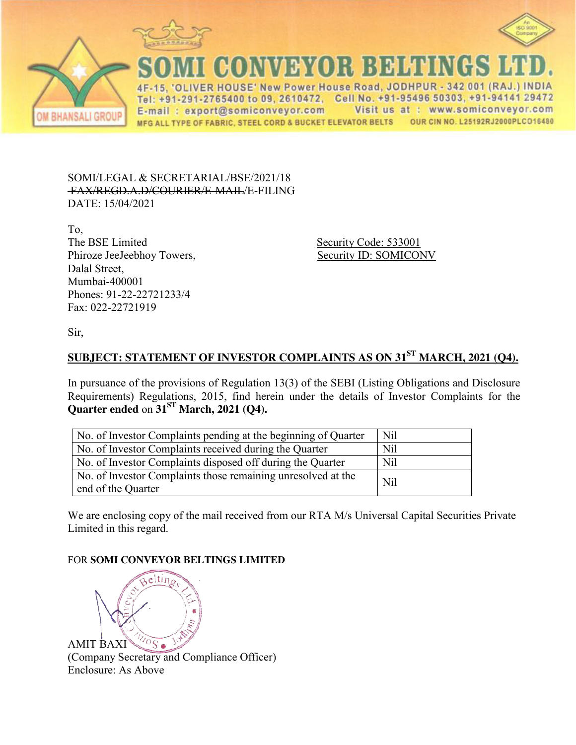





**JONVEYOR BELTINGS** ER HOUSE' New Power House Road, JODHPUR - 342 001 (RAJ.) INDIA

Tel: +91-291-2765400 to 09, 2610472, Cell No. +91-95496 50303, +91-94141 29472 Visit us at : www.somiconveyor.com E-mail: export@somiconveyor.com MFG ALL TYPE OF FABRIC, STEEL CORD & BUCKET ELEVATOR BELTS OUR CIN NO. L25192RJ2000PLCO16480

SOMI/LEGAL & SECRETARIAL/BSE/2021/18 FAX/REGD.A.D/COURIER/E-MAIL/E-FILING DATE: 15/04/2021

To, The BSE Limited Security Code: 533001 Phiroze JeeJeebhoy Towers, Security ID: SOMICONV Dalal Street, Mumbai-400001 Phones: 91-22-22721233/4 Fax: 022-22721919

Sir,

## **SUBJECT: STATEMENT OF INVESTOR COMPLAINTS AS ON 31ST MARCH, 2021 (Q4).**

In pursuance of the provisions of Regulation 13(3) of the SEBI (Listing Obligations and Disclosure Requirements) Regulations, 2015, find herein under the details of Investor Complaints for the **Quarter ended** on **31ST March, 2021 (Q4).**

| No. of Investor Complaints pending at the beginning of Quarter                     | N <sub>il</sub> |
|------------------------------------------------------------------------------------|-----------------|
| No. of Investor Complaints received during the Quarter                             | Nil             |
| No. of Investor Complaints disposed off during the Quarter                         | N <sub>il</sub> |
| No. of Investor Complaints those remaining unresolved at the<br>end of the Quarter | N <sub>il</sub> |

We are enclosing copy of the mail received from our RTA M/s Universal Capital Securities Private Limited in this regard.

## FOR **SOMI CONVEYOR BELTINGS LIMITED**



(Company Secretary and Compliance Officer) Enclosure: As Above